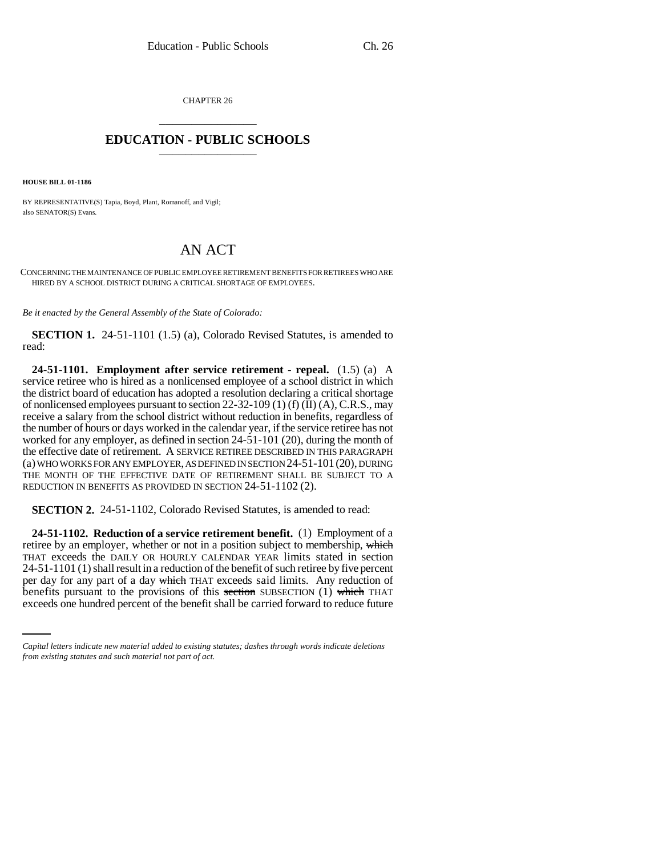CHAPTER 26 \_\_\_\_\_\_\_\_\_\_\_\_\_\_\_

## **EDUCATION - PUBLIC SCHOOLS** \_\_\_\_\_\_\_\_\_\_\_\_\_\_\_

**HOUSE BILL 01-1186**

BY REPRESENTATIVE(S) Tapia, Boyd, Plant, Romanoff, and Vigil; also SENATOR(S) Evans.

## AN ACT

CONCERNING THE MAINTENANCE OF PUBLIC EMPLOYEE RETIREMENT BENEFITS FOR RETIREES WHO ARE HIRED BY A SCHOOL DISTRICT DURING A CRITICAL SHORTAGE OF EMPLOYEES.

*Be it enacted by the General Assembly of the State of Colorado:*

**SECTION 1.** 24-51-1101 (1.5) (a), Colorado Revised Statutes, is amended to read:

**24-51-1101. Employment after service retirement - repeal.** (1.5) (a) A service retiree who is hired as a nonlicensed employee of a school district in which the district board of education has adopted a resolution declaring a critical shortage of nonlicensed employees pursuant to section 22-32-109 (1) (f)  $(II)$  (A), C.R.S., may receive a salary from the school district without reduction in benefits, regardless of the number of hours or days worked in the calendar year, if the service retiree has not worked for any employer, as defined in section 24-51-101 (20), during the month of the effective date of retirement. A SERVICE RETIREE DESCRIBED IN THIS PARAGRAPH (a) WHO WORKS FOR ANY EMPLOYER, AS DEFINED IN SECTION 24-51-101(20), DURING THE MONTH OF THE EFFECTIVE DATE OF RETIREMENT SHALL BE SUBJECT TO A REDUCTION IN BENEFITS AS PROVIDED IN SECTION 24-51-1102 (2).

**SECTION 2.** 24-51-1102, Colorado Revised Statutes, is amended to read:

per day for any part of a day which THAT exceeds said limits. Any reduction of **24-51-1102. Reduction of a service retirement benefit.** (1) Employment of a retiree by an employer, whether or not in a position subject to membership, which THAT exceeds the DAILY OR HOURLY CALENDAR YEAR limits stated in section 24-51-1101 (1) shall result in a reduction of the benefit of such retiree by five percent benefits pursuant to the provisions of this section SUBSECTION  $(1)$  which THAT exceeds one hundred percent of the benefit shall be carried forward to reduce future

*Capital letters indicate new material added to existing statutes; dashes through words indicate deletions from existing statutes and such material not part of act.*